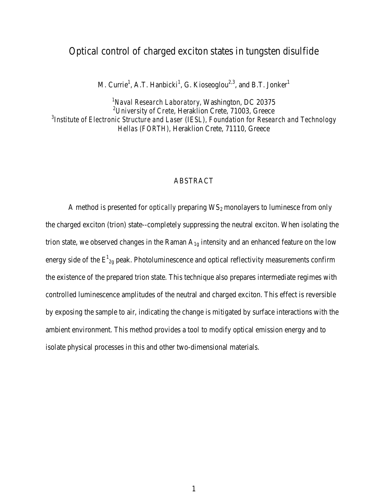## Optical control of charged exciton states in tungsten disulfide

M. Currie<sup>1</sup>, A.T. Hanbicki<sup>1</sup>, G. Kioseoglou<sup>2,3</sup>, and B.T. Jonker<sup>1</sup>

 *Naval Research Laboratory*, Washington, DC 20375 *University of Crete*, Heraklion Crete, 71003, Greece *Institute of Electronic Structure and Laser (IESL), Foundation for Research and Technology Hellas (FORTH),* Heraklion Crete, 71110, Greece

## ABSTRACT

A method is presented for *optically* preparing WS<sub>2</sub> monolayers to luminesce from only the charged exciton (trion) state--completely suppressing the neutral exciton. When isolating the trion state, we observed changes in the Raman  $A_{1g}$  intensity and an enhanced feature on the low energy side of the  $E_{2g}^1$  peak. Photoluminescence and optical reflectivity measurements confirm the existence of the prepared trion state. This technique also prepares intermediate regimes with controlled luminescence amplitudes of the neutral and charged exciton. This effect is reversible by exposing the sample to air, indicating the change is mitigated by surface interactions with the ambient environment. This method provides a tool to modify optical emission energy and to isolate physical processes in this and other two-dimensional materials.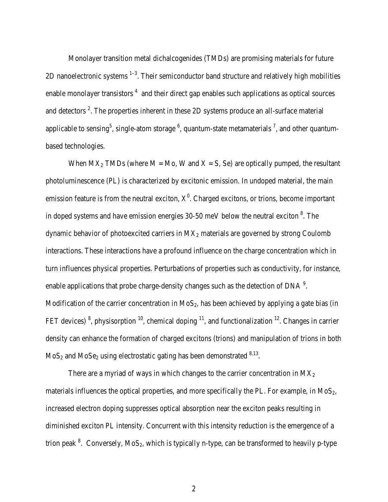Monolayer transition metal dichalcogenides (TMDs) are promising materials for future 2D nanoelectronic systems  $1-3$ . Their semiconductor band structure and relatively high mobilities enable monolayer transistors  $<sup>4</sup>$  and their direct gap enables such applications as optical sources</sup> and detectors<sup>2</sup>. The properties inherent in these 2D systems produce an all-surface material applicable to sensing<sup>5</sup>, single-atom storage  $^6$ , quantum-state metamaterials  $^7$ , and other quantumbased technologies.

When  $MX_2$  TMDs (where  $M = Mo$ , W and  $X = S$ , Se) are optically pumped, the resultant photoluminescence (PL) is characterized by excitonic emission. In undoped material, the main emission feature is from the neutral exciton,  $X^0$ . Charged excitons, or trions, become important in doped systems and have emission energies  $30-50$  meV below the neutral exciton  $8$ . The dynamic behavior of photoexcited carriers in  $MX<sub>2</sub>$  materials are governed by strong Coulomb interactions. These interactions have a profound influence on the charge concentration which in turn influences physical properties. Perturbations of properties such as conductivity, for instance, enable applications that probe charge-density changes such as the detection of DNA $^9$ . Modification of the carrier concentration in  $MoS<sub>2</sub>$ , has been achieved by applying a gate bias (in FET devices)<sup>8</sup>, physisorption<sup>10</sup>, chemical doping <sup>11</sup>, and functionalization<sup>12</sup>. Changes in carrier density can enhance the formation of charged excitons (trions) and manipulation of trions in both  $MoS<sub>2</sub>$  and  $MoS<sub>2</sub>$  using electrostatic gating has been demonstrated  $8,13$ .

There are a myriad of ways in which changes to the carrier concentration in  $MX_2$ materials influences the optical properties, and more specifically the PL. For example, in  $MoS<sub>2</sub>$ , increased electron doping suppresses optical absorption near the exciton peaks resulting in diminished exciton PL intensity. Concurrent with this intensity reduction is the emergence of a trion peak <sup>8</sup>. Conversely, MoS<sub>2</sub>, which is typically n-type, can be transformed to heavily p-type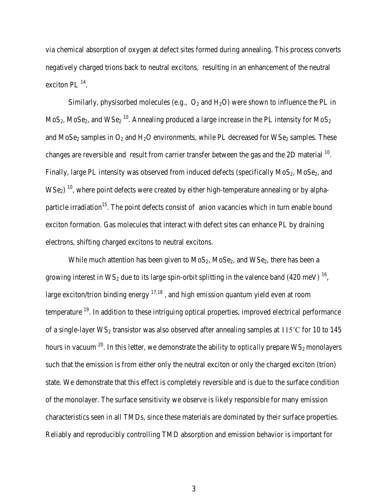via chemical absorption of oxygen at defect sites formed during annealing. This process converts negatively charged trions back to neutral excitons, resulting in an enhancement of the neutral exciton PL $^{14}$ .

Similarly, physisorbed molecules (e.g.,  $O_2$  and  $H_2O$ ) were shown to influence the PL in MoS<sub>2</sub>, MoSe<sub>2</sub>, and WSe<sub>2</sub><sup>10</sup>. Annealing produced a large increase in the PL intensity for MoS<sub>2</sub> and MoSe<sub>2</sub> samples in  $O_2$  and  $H_2O$  environments, while PL decreased for WSe<sub>2</sub> samples. These changes are reversible and result from carrier transfer between the gas and the 2D material <sup>10</sup>. Finally, large PL intensity was observed from induced defects (specifically  $MoS_2$ ,  $MoSe_2$ , and  $WSe<sub>2</sub>$ <sup>10</sup>, where point defects were created by either high-temperature annealing or by alphaparticle irradiation<sup>15</sup>. The point defects consist of anion vacancies which in turn enable bound exciton formation. Gas molecules that interact with defect sites can enhance PL by draining electrons, shifting charged excitons to neutral excitons.

While much attention has been given to  $MoS_2$ ,  $MoSe_2$ , and  $WSe_2$ , there has been a growing interest in  $WS_2$  due to its large spin-orbit splitting in the valence band (420 meV)  $^{16}$ . large exciton/trion binding energy  $17,18$ , and high emission quantum yield even at room temperature <sup>19</sup>. In addition to these intriguing optical properties, improved electrical performance of a single-layer  $WS_2$  transistor was also observed after annealing samples at 115°C for 10 to 145 hours in vacuum <sup>20</sup>. In this letter, we demonstrate the ability to *optically* prepare WS<sub>2</sub> monolayers such that the emission is from either only the neutral exciton or only the charged exciton (trion) state. We demonstrate that this effect is completely reversible and is due to the surface condition of the monolayer. The surface sensitivity we observe is likely responsible for many emission characteristics seen in all TMDs, since these materials are dominated by their surface properties. Reliably and reproducibly controlling TMD absorption and emission behavior is important for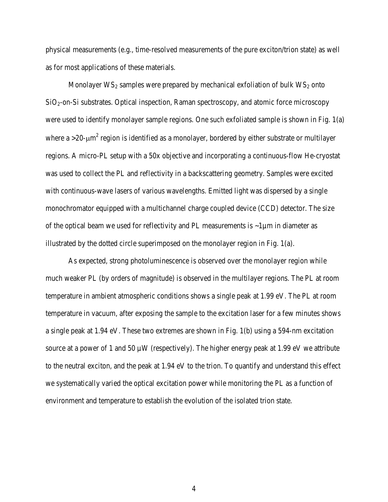physical measurements (e.g., time-resolved measurements of the pure exciton/trion state) as well as for most applications of these materials.

Monolayer  $WS_2$  samples were prepared by mechanical exfoliation of bulk  $WS_2$  onto SiO<sub>2</sub>-on-Si substrates. Optical inspection, Raman spectroscopy, and atomic force microscopy were used to identify monolayer sample regions. One such exfoliated sample is shown in Fig. 1(a) where a  $>$ 20- $\mu$ m<sup>2</sup> region is identified as a monolayer, bordered by either substrate or multilayer regions. A micro-PL setup with a 50x objective and incorporating a continuous-flow He-cryostat was used to collect the PL and reflectivity in a backscattering geometry. Samples were excited with continuous-wave lasers of various wavelengths. Emitted light was dispersed by a single monochromator equipped with a multichannel charge coupled device (CCD) detector. The size of the optical beam we used for reflectivity and PL measurements is ~1µm in diameter as illustrated by the dotted circle superimposed on the monolayer region in Fig. 1(a).

As expected, strong photoluminescence is observed over the monolayer region while much weaker PL (by orders of magnitude) is observed in the multilayer regions. The PL at room temperature in ambient atmospheric conditions shows a single peak at 1.99 eV. The PL at room temperature in vacuum, after exposing the sample to the excitation laser for a few minutes shows a single peak at 1.94 eV. These two extremes are shown in Fig. 1(b) using a 594-nm excitation source at a power of 1 and 50  $\mu$ W (respectively). The higher energy peak at 1.99 eV we attribute to the neutral exciton, and the peak at 1.94 eV to the trion. To quantify and understand this effect we systematically varied the optical excitation power while monitoring the PL as a function of environment and temperature to establish the evolution of the isolated trion state.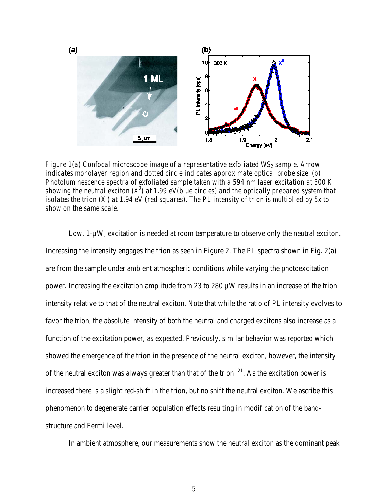

*Figure 1(a) Confocal microscope image of a representative exfoliated WS<sub>2</sub> sample. Arrow indicates monolayer region and dotted circle indicates approximate optical probe size. (b) Photoluminescence spectra of exfoliated sample taken with a 594 nm laser excitation at 300 K showing the neutral exciton (X0 ) at 1.99 eV(blue circles) and the optically prepared system that isolates the trion (X- ) at 1.94 eV (red squares). The PL intensity of trion is multiplied by 5x to show on the same scale.*

Low, 1- $\mu$ W, excitation is needed at room temperature to observe only the neutral exciton. Increasing the intensity engages the trion as seen in Figure 2. The PL spectra shown in Fig. 2(a) are from the sample under ambient atmospheric conditions while varying the photoexcitation power. Increasing the excitation amplitude from 23 to 280 µW results in an increase of the trion intensity relative to that of the neutral exciton. Note that while the ratio of PL intensity evolves to favor the trion, the absolute intensity of both the neutral and charged excitons also increase as a function of the excitation power, as expected. Previously, similar behavior was reported which showed the emergence of the trion in the presence of the neutral exciton, however, the intensity of the neutral exciton was always greater than that of the trion  $21$ . As the excitation power is increased there is a slight red-shift in the trion, but no shift the neutral exciton. We ascribe this phenomenon to degenerate carrier population effects resulting in modification of the bandstructure and Fermi level.

In ambient atmosphere, our measurements show the neutral exciton as the dominant peak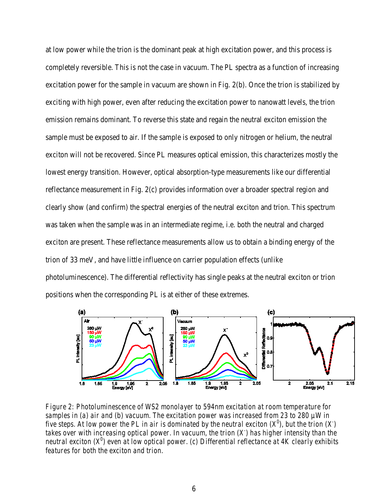at low power while the trion is the dominant peak at high excitation power, and this process is completely reversible. This is not the case in vacuum. The PL spectra as a function of increasing excitation power for the sample in vacuum are shown in Fig. 2(b). Once the trion is stabilized by exciting with high power, even after reducing the excitation power to nanowatt levels, the trion emission remains dominant. To reverse this state and regain the neutral exciton emission the sample must be exposed to air. If the sample is exposed to only nitrogen or helium, the neutral exciton will not be recovered. Since PL measures optical emission, this characterizes mostly the lowest energy transition. However, optical absorption-type measurements like our differential reflectance measurement in Fig. 2(c) provides information over a broader spectral region and clearly show (and confirm) the spectral energies of the neutral exciton and trion. This spectrum was taken when the sample was in an intermediate regime, i.e. both the neutral and charged exciton are present. These reflectance measurements allow us to obtain a binding energy of the trion of 33 meV, and have little influence on carrier population effects (unlike photoluminescence). The differential reflectivity has single peaks at the neutral exciton or trion positions when the corresponding PL is at either of these extremes.



*Figure 2: Photoluminescence of WS2 monolayer to 594nm excitation at room temperature for samples in (a) air and (b) vacuum. The excitation power was increased from 23 to 280 µW in five steps. At low power the PL in air is dominated by the neutral exciton (X<sup>0</sup>), but the trion (X) takes over with increasing optical power. In vacuum, the trion (X- ) has higher intensity than the neutral exciton (X0 ) even at low optical power. (c) Differential reflectance at 4K clearly exhibits features for both the exciton and trion.*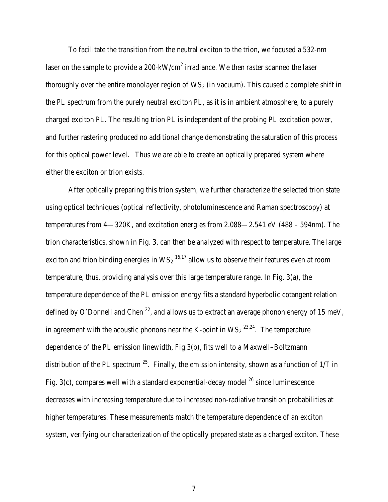To facilitate the transition from the neutral exciton to the trion, we focused a 532-nm laser on the sample to provide a  $200 \text{-}kW/cm^2$  irradiance. We then raster scanned the laser thoroughly over the entire monolayer region of  $WS_2$  (in vacuum). This caused a complete shift in the PL spectrum from the purely neutral exciton PL, as it is in ambient atmosphere, to a purely charged exciton PL. The resulting trion PL is independent of the probing PL excitation power, and further rastering produced no additional change demonstrating the saturation of this process for this optical power level. Thus we are able to create an optically prepared system where either the exciton or trion exists.

After optically preparing this trion system, we further characterize the selected trion state using optical techniques (optical reflectivity, photoluminescence and Raman spectroscopy) at temperatures from 4—320K, and excitation energies from 2.088—2.541 eV (488 – 594nm). The trion characteristics, shown in Fig. 3, can then be analyzed with respect to temperature. The large exciton and trion binding energies in  $WS_2$  <sup>16,17</sup> allow us to observe their features even at room temperature, thus, providing analysis over this large temperature range. In Fig. 3(a), the temperature dependence of the PL emission energy fits a standard hyperbolic cotangent relation defined by O'Donnell and Chen  $^{22}$ , and allows us to extract an average phonon energy of 15 meV, in agreement with the acoustic phonons near the K-point in  $WS_2^{23,24}$ . The temperature dependence of the PL emission linewidth, Fig 3(b), fits well to a Maxwell–Boltzmann distribution of the PL spectrum  $^{25}$ . Finally, the emission intensity, shown as a function of 1/T in Fig. 3(c), compares well with a standard exponential-decay model  $^{26}$  since luminescence decreases with increasing temperature due to increased non-radiative transition probabilities at higher temperatures. These measurements match the temperature dependence of an exciton system, verifying our characterization of the optically prepared state as a charged exciton. These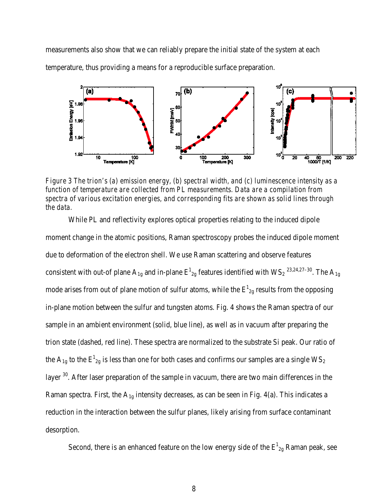measurements also show that we can reliably prepare the initial state of the system at each temperature, thus providing a means for a reproducible surface preparation.



*Figure 3 The trion's (a) emission energy, (b) spectral width, and (c) luminescence intensity as a function of temperature are collected from PL measurements. Data are a compilation from spectra of various excitation energies, and corresponding fits are shown as solid lines through the data.*

While PL and reflectivity explores optical properties relating to the induced dipole moment change in the atomic positions, Raman spectroscopy probes the induced dipole moment due to deformation of the electron shell. We use Raman scattering and observe features consistent with out-of plane  $A_{1g}$  and in-plane  $E_{2g}^1$  features identified with WS<sub>2</sub><sup>23,24,27–30</sup>. The  $A_{1g}$ mode arises from out of plane motion of sulfur atoms, while the  $E_{2g}^1$  results from the opposing in-plane motion between the sulfur and tungsten atoms. Fig. 4 shows the Raman spectra of our sample in an ambient environment (solid, blue line), as well as in vacuum after preparing the trion state (dashed, red line). These spectra are normalized to the substrate Si peak. Our ratio of the A<sub>1g</sub> to the  $E_{2g}^1$  is less than one for both cases and confirms our samples are a single WS<sub>2</sub> layer <sup>30</sup>. After laser preparation of the sample in vacuum, there are two main differences in the Raman spectra. First, the  $A_{1g}$  intensity decreases, as can be seen in Fig. 4(a). This indicates a reduction in the interaction between the sulfur planes, likely arising from surface contaminant desorption.

Second, there is an enhanced feature on the low energy side of the  $E_{2g}^1$  Raman peak, see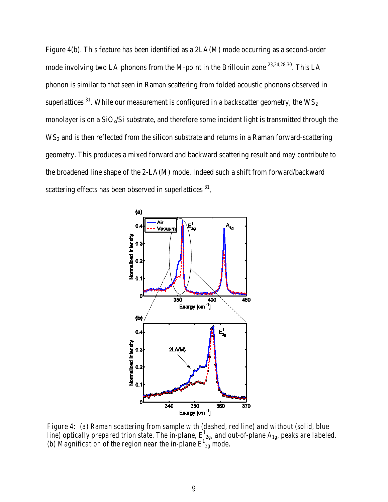Figure 4(b). This feature has been identified as a 2LA(M) mode occurring as a second-order mode involving two LA phonons from the M-point in the Brillouin zone <sup>23,24,28,30</sup>. This LA phonon is similar to that seen in Raman scattering from folded acoustic phonons observed in superlattices  $31$ . While our measurement is configured in a backscatter geometry, the  $WS_2$ monolayer is on a  $SiO_x/Si$  substrate, and therefore some incident light is transmitted through the WS<sub>2</sub> and is then reflected from the silicon substrate and returns in a Raman forward-scattering geometry. This produces a mixed forward and backward scattering result and may contribute to the broadened line shape of the 2-LA(M) mode. Indeed such a shift from forward/backward scattering effects has been observed in superlattices  $31$ .



*Figure 4: (a) Raman scattering from sample with (dashed, red line) and without (solid, blue*  line) optically prepared trion state. The in-plane,  $E^{1}_{2g}$ , and out-of-plane  $A_{1g}$ , peaks are labeled. (b) Magnification of the region near the in-plane  $E^{1}_{2g}$  mode.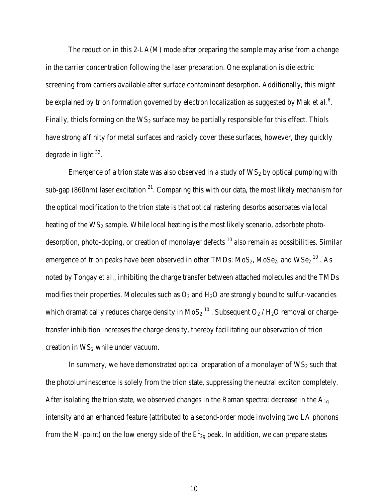The reduction in this 2-LA(M) mode after preparing the sample may arise from a change in the carrier concentration following the laser preparation. One explanation is dielectric screening from carriers available after surface contaminant desorption. Additionally, this might be explained by trion formation governed by electron localization as suggested by Mak *et al.*<sup>8</sup>. Finally, thiols forming on the  $WS_2$  surface may be partially responsible for this effect. Thiols have strong affinity for metal surfaces and rapidly cover these surfaces, however, they quickly degrade in light  $32$ .

Emergence of a trion state was also observed in a study of  $WS_2$  by optical pumping with sub-gap (860nm) laser excitation  $2^{1}$ . Comparing this with our data, the most likely mechanism for the optical modification to the trion state is that optical rastering desorbs adsorbates via local heating of the  $WS_2$  sample. While local heating is the most likely scenario, adsorbate photodesorption, photo-doping, or creation of monolayer defects <sup>10</sup> also remain as possibilities. Similar emergence of trion peaks have been observed in other TMDs:  $MoS<sub>2</sub>$ ,  $MoS<sub>2</sub>$ , and  $WSe<sub>2</sub>$ <sup>10</sup>. As noted by Tongay *et al.*, inhibiting the charge transfer between attached molecules and the TMDs modifies their properties. Molecules such as  $O_2$  and  $H_2O$  are strongly bound to sulfur-vacancies which dramatically reduces charge density in  $MoS<sub>2</sub>$ <sup>10</sup>. Subsequent O<sub>2</sub> / H<sub>2</sub>O removal or chargetransfer inhibition increases the charge density, thereby facilitating our observation of trion creation in  $WS_2$  while under vacuum.

In summary, we have demonstrated optical preparation of a monolayer of  $WS_2$  such that the photoluminescence is solely from the trion state, suppressing the neutral exciton completely. After isolating the trion state, we observed changes in the Raman spectra: decrease in the  $A_{1g}$ intensity and an enhanced feature (attributed to a second-order mode involving two LA phonons from the M-point) on the low energy side of the  $E_{2g}^1$  peak. In addition, we can prepare states

10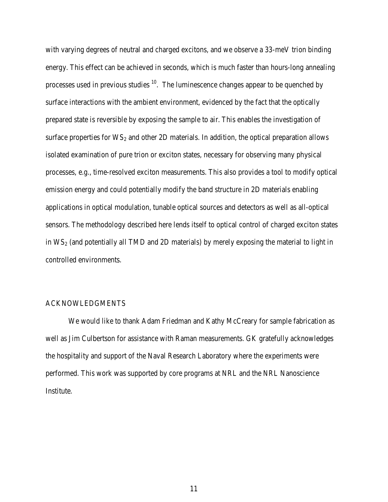with varying degrees of neutral and charged excitons, and we observe a 33-meV trion binding energy. This effect can be achieved in seconds, which is much faster than hours-long annealing processes used in previous studies  $10$ . The luminescence changes appear to be quenched by surface interactions with the ambient environment, evidenced by the fact that the optically prepared state is reversible by exposing the sample to air. This enables the investigation of surface properties for  $WS_2$  and other 2D materials. In addition, the optical preparation allows isolated examination of pure trion or exciton states, necessary for observing many physical processes, e.g., time-resolved exciton measurements. This also provides a tool to modify optical emission energy and could potentially modify the band structure in 2D materials enabling applications in optical modulation, tunable optical sources and detectors as well as all-optical sensors. The methodology described here lends itself to optical control of charged exciton states in  $WS_2$  (and potentially all TMD and 2D materials) by merely exposing the material to light in controlled environments.

## ACKNOWLEDGMENTS

We would like to thank Adam Friedman and Kathy McCreary for sample fabrication as well as Jim Culbertson for assistance with Raman measurements. GK gratefully acknowledges the hospitality and support of the Naval Research Laboratory where the experiments were performed. This work was supported by core programs at NRL and the NRL Nanoscience Institute.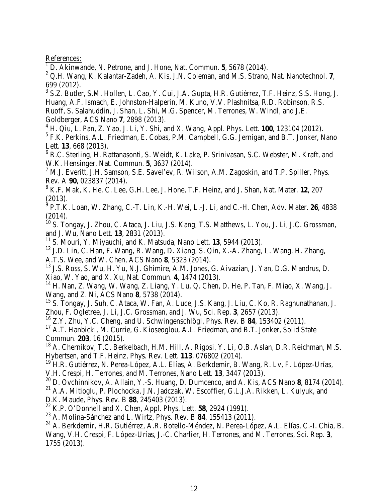References:

<sup>1</sup> D. Akinwande, N. Petrone, and J. Hone, Nat. Commun. **5**, 5678 (2014).

<sup>2</sup> Q.H. Wang, K. Kalantar-Zadeh, A. Kis, J.N. Coleman, and M.S. Strano, Nat. Nanotechnol. **7**, 699 (2012).

<sup>3</sup> S.Z. Butler, S.M. Hollen, L. Cao, Y. Cui, J.A. Gupta, H.R. Gutiérrez, T.F. Heinz, S.S. Hong, J. Huang, A.F. Ismach, E. Johnston-Halperin, M. Kuno, V.V. Plashnitsa, R.D. Robinson, R.S. Ruoff, S. Salahuddin, J. Shan, L. Shi, M.G. Spencer, M. Terrones, W. Windl, and J.E. Goldberger, ACS Nano **7**, 2898 (2013).

<sup>4</sup> H. Qiu, L. Pan, Z. Yao, J. Li, Y. Shi, and X. Wang, Appl. Phys. Lett. **100**, 123104 (2012). <sup>5</sup> F.K. Perkins, A.L. Friedman, E. Cobas, P.M. Campbell, G.G. Jernigan, and B.T. Jonker, Nano Lett. **13**, 668 (2013).

<sup>6</sup> R.C. Sterling, H. Rattanasonti, S. Weidt, K. Lake, P. Srinivasan, S.C. Webster, M. Kraft, and W.K. Hensinger, Nat. Commun. **5**, 3637 (2014).

<sup>7</sup> M.J. Everitt, J.H. Samson, S.E. Savel'ev, R. Wilson, A.M. Zagoskin, and T.P. Spiller, Phys. Rev. A **90**, 023837 (2014).

<sup>8</sup> K.F. Mak, K. He, C. Lee, G.H. Lee, J. Hone, T.F. Heinz, and J. Shan, Nat. Mater. **12**, 207 (2013).

<sup>9</sup> P.T.K. Loan, W. Zhang, C.-T. Lin, K.-H. Wei, L.-J. Li, and C.-H. Chen, Adv. Mater. **26**, 4838 (2014).

<sup>10</sup> S. Tongay, J. Zhou, C. Ataca, J. Liu, J.S. Kang, T.S. Matthews, L. You, J. Li, J.C. Grossman, and J. Wu, Nano Lett. **13**, 2831 (2013).

<sup>11</sup> S. Mouri, Y. Miyauchi, and K. Matsuda, Nano Lett. **13**, 5944 (2013).

 $12$  J.D. Lin, C. Han, F. Wang, R. Wang, D. Xiang, S. Qin, X.-A. Zhang, L. Wang, H. Zhang, A.T.S. Wee, and W. Chen, ACS Nano **8**, 5323 (2014).

<sup>13</sup> J.S. Ross, S. Wu, H. Yu, N.J. Ghimire, A.M. Jones, G. Aivazian, J. Yan, D.G. Mandrus, D. Xiao, W. Yao, and X. Xu, Nat. Commun. **4**, 1474 (2013).

<sup>14</sup> H. Nan, Z. Wang, W. Wang, Z. Liang, Y. Lu, Q. Chen, D. He, P. Tan, F. Miao, X. Wang, J. Wang, and Z. Ni, ACS Nano **8**, 5738 (2014).

<sup>15</sup> S. Tongay, J. Suh, C. Ataca, W. Fan, A. Luce, J.S. Kang, J. Liu, C. Ko, R. Raghunathanan, J. Zhou, F. Ogletree, J. Li, J.C. Grossman, and J. Wu, Sci. Rep. **3**, 2657 (2013).

<sup>16</sup> Z.Y. Zhu, Y.C. Cheng, and U. Schwingenschlögl, Phys. Rev. B **84**, 153402 (2011).

<sup>17</sup> A.T. Hanbicki, M. Currie, G. Kioseoglou, A.L. Friedman, and B.T. Jonker, Solid State Commun. **203**, 16 (2015).

<sup>18</sup> A. Chernikov, T.C. Berkelbach, H.M. Hill, A. Rigosi, Y. Li, O.B. Aslan, D.R. Reichman, M.S. Hybertsen, and T.F. Heinz, Phys. Rev. Lett. **113**, 076802 (2014).

<sup>19</sup> H.R. Gutiérrez, N. Perea-López, A.L. Elías, A. Berkdemir, B. Wang, R. Lv, F. López-Urías, V.H. Crespi, H. Terrones, and M. Terrones, Nano Lett. **13**, 3447 (2013).

<sup>20</sup> D. Ovchinnikov, A. Allain, Y.-S. Huang, D. Dumcenco, and A. Kis, ACS Nano **8**, 8174 (2014).

 $^{21}$  A.A. Mitioglu, P. Plochocka, J.N. Jadczak, W. Escoffier, G.L.J.A. Rikken, L. Kulyuk, and D.K. Maude, Phys. Rev. B **88**, 245403 (2013).

<sup>22</sup> K.P. O'Donnell and X. Chen, Appl. Phys. Lett. **58**, 2924 (1991).

<sup>23</sup> A. Molina-Sánchez and L. Wirtz, Phys. Rev. B **84**, 155413 (2011).

<sup>24</sup> A. Berkdemir, H.R. Gutiérrez, A.R. Botello-Méndez, N. Perea-López, A.L. Elías, C.-I. Chia, B. Wang, V.H. Crespi, F. López-Urías, J.-C. Charlier, H. Terrones, and M. Terrones, Sci. Rep. **3**, 1755 (2013).